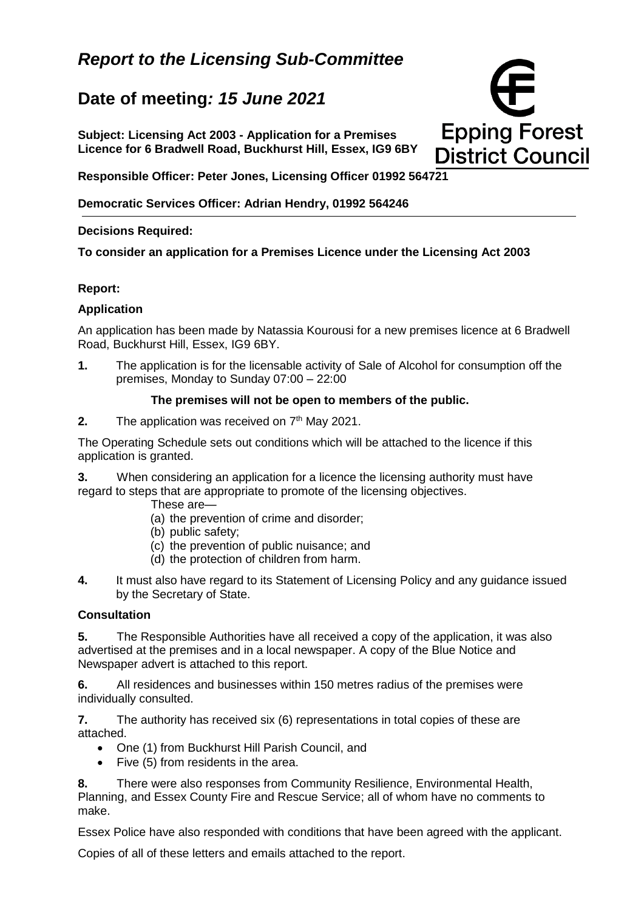# *Report to the Licensing Sub-Committee*

# **Date of meeting***: 15 June 2021*

**Subject: Licensing Act 2003 - Application for a Premises Licence for 6 Bradwell Road, Buckhurst Hill, Essex, IG9 6BY**



**Responsible Officer: Peter Jones, Licensing Officer 01992 564721**

**Democratic Services Officer: Adrian Hendry, 01992 564246**

### **Decisions Required:**

**To consider an application for a Premises Licence under the Licensing Act 2003**

## **Report:**

## **Application**

An application has been made by Natassia Kourousi for a new premises licence at 6 Bradwell Road, Buckhurst Hill, Essex, IG9 6BY.

**1.** The application is for the licensable activity of Sale of Alcohol for consumption off the premises, Monday to Sunday 07:00 – 22:00

#### **The premises will not be open to members of the public.**

**2.** The application was received on 7<sup>th</sup> May 2021.

The Operating Schedule sets out conditions which will be attached to the licence if this application is granted.

**3.** When considering an application for a licence the licensing authority must have regard to steps that are appropriate to promote of the licensing objectives.

- These are—
- (a) the prevention of crime and disorder;
- (b) public safety;
- (c) the prevention of public nuisance; and
- (d) the protection of children from harm.
- **4.** It must also have regard to its Statement of Licensing Policy and any guidance issued by the Secretary of State.

## **Consultation**

**5.** The Responsible Authorities have all received a copy of the application, it was also advertised at the premises and in a local newspaper. A copy of the Blue Notice and Newspaper advert is attached to this report.

**6.** All residences and businesses within 150 metres radius of the premises were individually consulted.

**7.** The authority has received six (6) representations in total copies of these are attached.

- One (1) from Buckhurst Hill Parish Council, and
- Five (5) from residents in the area.

**8.** There were also responses from Community Resilience, Environmental Health, Planning, and Essex County Fire and Rescue Service; all of whom have no comments to make.

Essex Police have also responded with conditions that have been agreed with the applicant.

Copies of all of these letters and emails attached to the report.